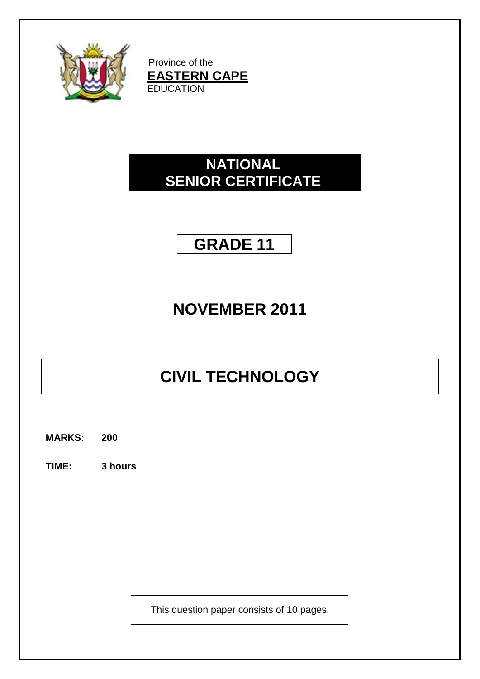

Province of the **EASTERN CAPE EDUCATION** 

## **NATIONAL SENIOR CERTIFICATE**

## **GRADE 11**

## **NOVEMBER 2011**

# **CIVIL TECHNOLOGY**

**MARKS: 200**

**TIME: 3 hours**

This question paper consists of 10 pages.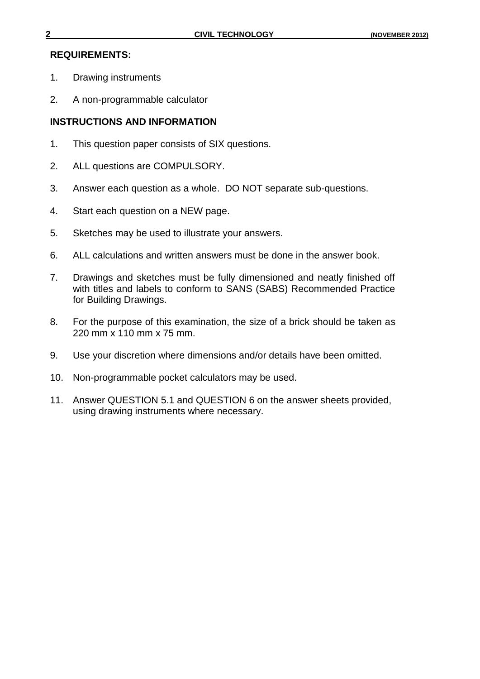#### **REQUIREMENTS:**

- 1. Drawing instruments
- 2. A non-programmable calculator

### **INSTRUCTIONS AND INFORMATION**

- 1. This question paper consists of SIX questions.
- 2. ALL questions are COMPULSORY.
- 3. Answer each question as a whole. DO NOT separate sub-questions.
- 4. Start each question on a NEW page.
- 5. Sketches may be used to illustrate your answers.
- 6. ALL calculations and written answers must be done in the answer book.
- 7. Drawings and sketches must be fully dimensioned and neatly finished off with titles and labels to conform to SANS (SABS) Recommended Practice for Building Drawings.
- 8. For the purpose of this examination, the size of a brick should be taken as 220 mm x 110 mm x 75 mm.
- 9. Use your discretion where dimensions and/or details have been omitted.
- 10. Non-programmable pocket calculators may be used.
- 11. Answer QUESTION 5.1 and QUESTION 6 on the answer sheets provided, using drawing instruments where necessary.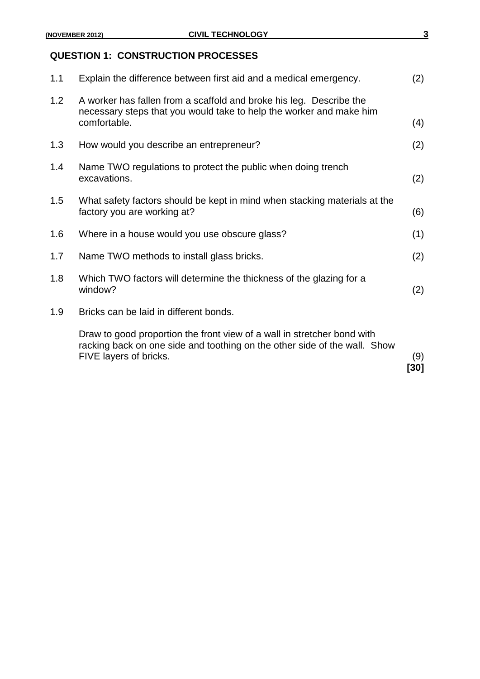## **QUESTION 1: CONSTRUCTION PROCESSES**

|     | Draw to good proportion the front view of a wall in stretcher bond with<br>racking back on one side and toothing on the other side of the wall. Show<br>FIVE layers of bricks. | (9)<br>[30] |
|-----|--------------------------------------------------------------------------------------------------------------------------------------------------------------------------------|-------------|
| 1.9 | Bricks can be laid in different bonds.                                                                                                                                         |             |
| 1.8 | Which TWO factors will determine the thickness of the glazing for a<br>window?                                                                                                 | (2)         |
| 1.7 | Name TWO methods to install glass bricks.                                                                                                                                      | (2)         |
| 1.6 | Where in a house would you use obscure glass?                                                                                                                                  | (1)         |
| 1.5 | What safety factors should be kept in mind when stacking materials at the<br>factory you are working at?                                                                       | (6)         |
| 1.4 | Name TWO regulations to protect the public when doing trench<br>excavations.                                                                                                   | (2)         |
| 1.3 | How would you describe an entrepreneur?                                                                                                                                        | (2)         |
| 1.2 | A worker has fallen from a scaffold and broke his leg. Describe the<br>necessary steps that you would take to help the worker and make him<br>comfortable.                     | (4)         |
| 1.1 | Explain the difference between first aid and a medical emergency.                                                                                                              | (2)         |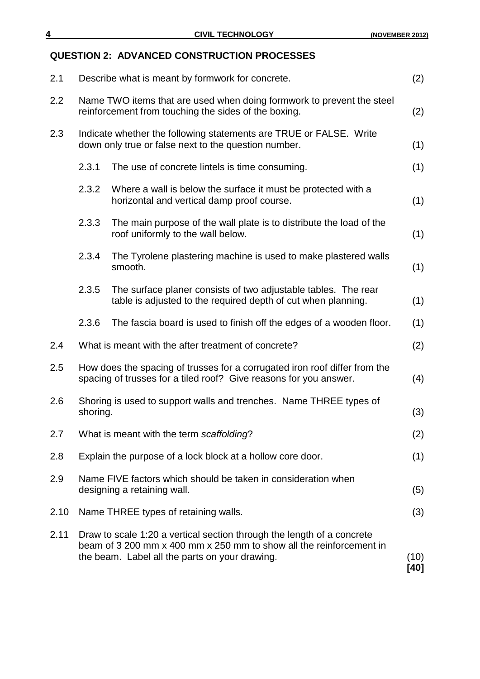## **QUESTION 2: ADVANCED CONSTRUCTION PROCESSES**

| 2.1  | Describe what is meant by formwork for concrete.                                                                                                                                                |                                                                                                                                 |              |
|------|-------------------------------------------------------------------------------------------------------------------------------------------------------------------------------------------------|---------------------------------------------------------------------------------------------------------------------------------|--------------|
| 2.2  | Name TWO items that are used when doing formwork to prevent the steel<br>reinforcement from touching the sides of the boxing.                                                                   |                                                                                                                                 |              |
| 2.3  | Indicate whether the following statements are TRUE or FALSE. Write<br>down only true or false next to the question number.                                                                      |                                                                                                                                 |              |
|      | 2.3.1                                                                                                                                                                                           | The use of concrete lintels is time consuming.                                                                                  | (1)          |
|      | 2.3.2                                                                                                                                                                                           | Where a wall is below the surface it must be protected with a<br>horizontal and vertical damp proof course.                     | (1)          |
|      | 2.3.3                                                                                                                                                                                           | The main purpose of the wall plate is to distribute the load of the<br>roof uniformly to the wall below.                        | (1)          |
|      | 2.3.4                                                                                                                                                                                           | The Tyrolene plastering machine is used to make plastered walls<br>smooth.                                                      | (1)          |
|      | 2.3.5                                                                                                                                                                                           | The surface planer consists of two adjustable tables. The rear<br>table is adjusted to the required depth of cut when planning. | (1)          |
|      | 2.3.6                                                                                                                                                                                           | The fascia board is used to finish off the edges of a wooden floor.                                                             | (1)          |
| 2.4  |                                                                                                                                                                                                 | What is meant with the after treatment of concrete?                                                                             | (2)          |
| 2.5  | How does the spacing of trusses for a corrugated iron roof differ from the<br>spacing of trusses for a tiled roof? Give reasons for you answer.                                                 |                                                                                                                                 |              |
| 2.6  | Shoring is used to support walls and trenches. Name THREE types of<br>shoring.                                                                                                                  |                                                                                                                                 | (3)          |
| 2.7  | What is meant with the term scaffolding?                                                                                                                                                        |                                                                                                                                 | (2)          |
| 2.8  | Explain the purpose of a lock block at a hollow core door.                                                                                                                                      |                                                                                                                                 | (1)          |
| 2.9  | Name FIVE factors which should be taken in consideration when<br>designing a retaining wall.                                                                                                    |                                                                                                                                 | (5)          |
| 2.10 | Name THREE types of retaining walls.                                                                                                                                                            |                                                                                                                                 | (3)          |
| 2.11 | Draw to scale 1:20 a vertical section through the length of a concrete<br>beam of 3 200 mm x 400 mm x 250 mm to show all the reinforcement in<br>the beam. Label all the parts on your drawing. |                                                                                                                                 | (10)<br>[40] |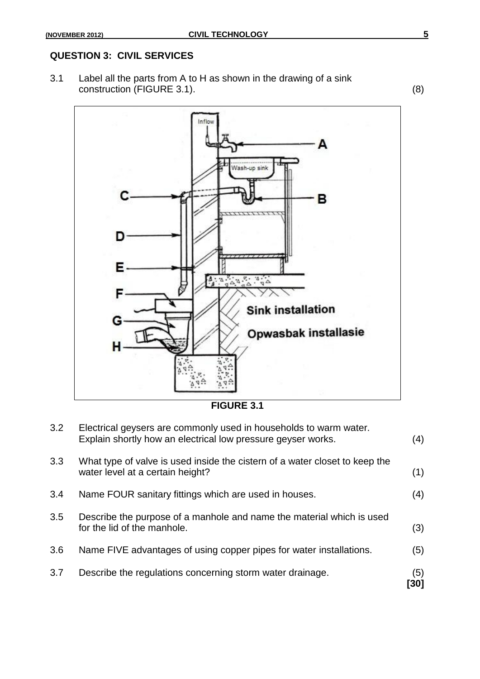### **QUESTION 3: CIVIL SERVICES**

3.1 Label all the parts from A to H as shown in the drawing of a sink construction (FIGURE 3.1). (8)



**FIGURE 3.1**

| 3.7 | Describe the regulations concerning storm water drainage.                                                                         | (5)<br>[30] |
|-----|-----------------------------------------------------------------------------------------------------------------------------------|-------------|
| 3.6 | Name FIVE advantages of using copper pipes for water installations.                                                               | (5)         |
| 3.5 | Describe the purpose of a manhole and name the material which is used<br>for the lid of the manhole.                              | (3)         |
| 3.4 | Name FOUR sanitary fittings which are used in houses.                                                                             | (4)         |
| 3.3 | What type of valve is used inside the cistern of a water closet to keep the<br>water level at a certain height?                   | (1)         |
| 3.2 | Electrical geysers are commonly used in households to warm water.<br>Explain shortly how an electrical low pressure geyser works. | (4)         |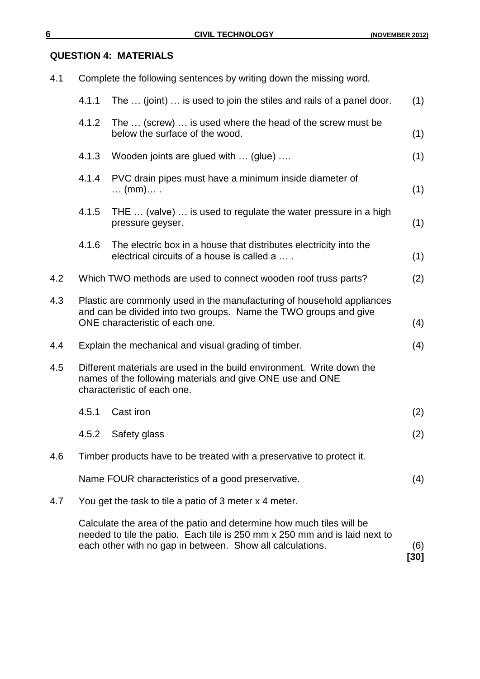### **QUESTION 4: MATERIALS**

| 4.1 | Complete the following sentences by writing down the missing word.                                                                                                                                              |                                                                                                                 |     |  |
|-----|-----------------------------------------------------------------------------------------------------------------------------------------------------------------------------------------------------------------|-----------------------------------------------------------------------------------------------------------------|-----|--|
|     | 4.1.1<br>The  (joint)  is used to join the stiles and rails of a panel door.                                                                                                                                    |                                                                                                                 | (1) |  |
|     | 4.1.2<br>The  (screw)  is used where the head of the screw must be<br>below the surface of the wood.                                                                                                            |                                                                                                                 | (1) |  |
|     | 4.1.3                                                                                                                                                                                                           | Wooden joints are glued with  (glue)                                                                            | (1) |  |
|     | 4.1.4                                                                                                                                                                                                           | PVC drain pipes must have a minimum inside diameter of<br>$\ldots$ (mm) $\ldots$ .                              | (1) |  |
|     | 4.1.5                                                                                                                                                                                                           | THE  (valve)  is used to regulate the water pressure in a high<br>pressure geyser.                              | (1) |  |
|     | 4.1.6                                                                                                                                                                                                           | The electric box in a house that distributes electricity into the<br>electrical circuits of a house is called a | (1) |  |
| 4.2 | Which TWO methods are used to connect wooden roof truss parts?                                                                                                                                                  |                                                                                                                 | (2) |  |
| 4.3 | Plastic are commonly used in the manufacturing of household appliances<br>and can be divided into two groups. Name the TWO groups and give<br>ONE characteristic of each one.                                   |                                                                                                                 |     |  |
| 4.4 | Explain the mechanical and visual grading of timber.                                                                                                                                                            |                                                                                                                 | (4) |  |
| 4.5 | Different materials are used in the build environment. Write down the<br>names of the following materials and give ONE use and ONE<br>characteristic of each one.                                               |                                                                                                                 |     |  |
|     | 4.5.1                                                                                                                                                                                                           | Cast iron                                                                                                       | (2) |  |
|     | 4.5.2                                                                                                                                                                                                           | Safety glass                                                                                                    | (2) |  |
| 4.6 | Timber products have to be treated with a preservative to protect it.                                                                                                                                           |                                                                                                                 |     |  |
|     | Name FOUR characteristics of a good preservative.                                                                                                                                                               |                                                                                                                 |     |  |
| 4.7 | You get the task to tile a patio of 3 meter x 4 meter.                                                                                                                                                          |                                                                                                                 |     |  |
|     | Calculate the area of the patio and determine how much tiles will be<br>needed to tile the patio. Each tile is 250 mm x 250 mm and is laid next to<br>each other with no gap in between. Show all calculations. |                                                                                                                 |     |  |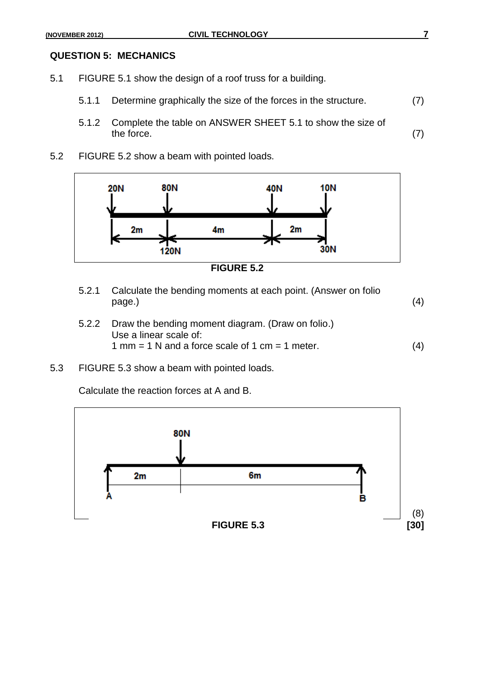#### **QUESTION 5: MECHANICS**

- 5.1 FIGURE 5.1 show the design of a roof truss for a building.
	- 5.1.1 Determine graphically the size of the forces in the structure. (7)
	- 5.1.2 Complete the table on ANSWER SHEET 5.1 to show the size of the force.  $(7)$
- 5.2 FIGURE 5.2 show a beam with pointed loads.





- 5.2.1 Calculate the bending moments at each point. (Answer on folio  $page.)$  (4)
- 5.2.2 Draw the bending moment diagram. (Draw on folio.) Use a linear scale of:  $1 \text{ mm} = 1 \text{ N}$  and a force scale of  $1 \text{ cm} = 1 \text{ meter.}$  (4)
- 5.3 FIGURE 5.3 show a beam with pointed loads.

Calculate the reaction forces at A and B.

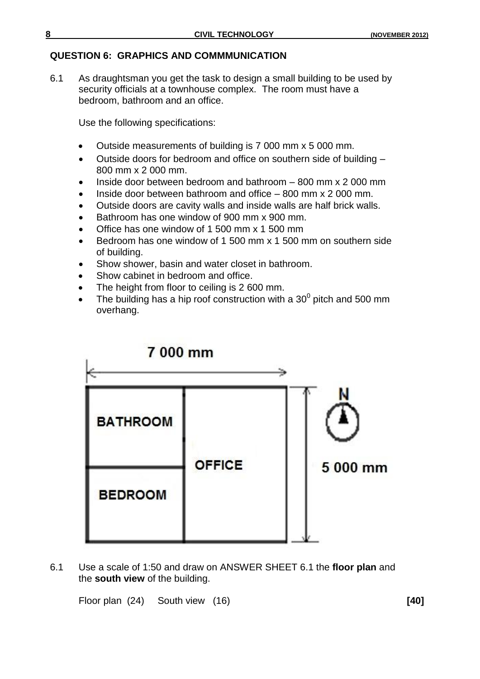#### **QUESTION 6: GRAPHICS AND COMMMUNICATION**

6.1 As draughtsman you get the task to design a small building to be used by security officials at a townhouse complex. The room must have a bedroom, bathroom and an office.

Use the following specifications:

- Outside measurements of building is 7 000 mm x 5 000 mm.
- Outside doors for bedroom and office on southern side of building 800 mm x 2 000 mm.
- Inside door between bedroom and bathroom 800 mm x 2 000 mm
- Inside door between bathroom and office 800 mm x 2 000 mm.
- Outside doors are cavity walls and inside walls are half brick walls.
- Bathroom has one window of 900 mm x 900 mm.
- Office has one window of 1 500 mm x 1 500 mm
- Bedroom has one window of 1 500 mm x 1 500 mm on southern side of building.
- Show shower, basin and water closet in bathroom.
- Show cabinet in bedroom and office.
- The height from floor to ceiling is 2 600 mm.
- The building has a hip roof construction with a 30<sup>0</sup> pitch and 500 mm overhang.



6.1 Use a scale of 1:50 and draw on ANSWER SHEET 6.1 the **floor plan** and the **south view** of the building.

Floor plan (24) South view (16) **[40]**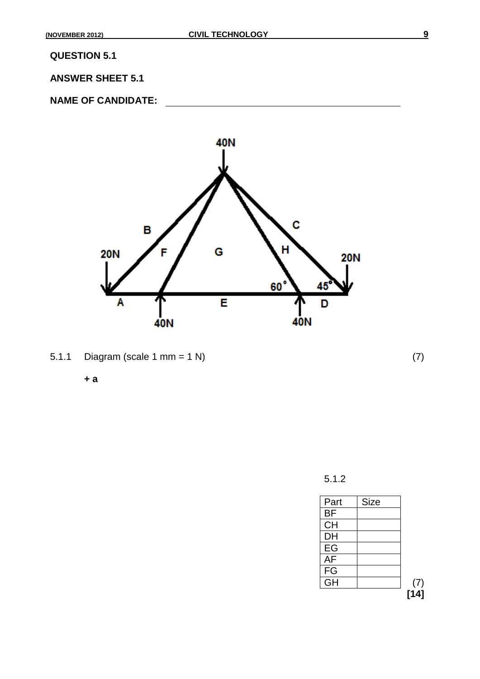**QUESTION 5.1**

**ANSWER SHEET 5.1**

**NAME OF CANDIDATE:**



5.1.1 Diagram (scale 1 mm = 1 N) (7)

**+ a**

5.1.2

| Part            | <b>Size</b> |      |
|-----------------|-------------|------|
| BF              |             |      |
| <b>CH</b>       |             |      |
| DH              |             |      |
| EG              |             |      |
| $\overline{AF}$ |             |      |
| FG              |             |      |
| $\overline{G}H$ |             | (7)  |
|                 |             | [14] |